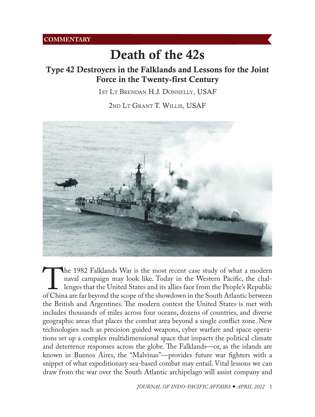# Death of the 42s

## Type 42 Destroyers in the Falklands and Lessons for the Joint Force in the Twenty-first Century

1st Lt Brendan H.J. Donnelly, USAF

2nd Lt Grant T. Willis, USAF



The 1982 Falklands War is the most recent case study of what a modern naval campaign may look like. Today in the Western Pacific, the challenges that the United States and its allies face from the People's Republic of Chin naval campaign may look like. Today in the Western Pacific, the challenges that the United States and its allies face from the People's Republic the British and Argentines. The modern contest the United States is met with includes thousands of miles across four oceans, dozens of countries, and diverse geographic areas that places the combat area beyond a single conflict zone. New technologies such as precision guided weapons, cyber warfare and space operations set up a complex multidimensional space that impacts the political climate and deterrence responses across the globe. The Falklands—or, as the islands are known in Buenos Aires, the "Malvinas"—provides future war fighters with a snippet of what expeditionary sea-based combat may entail. Vital lessons we can draw from the war over the South Atlantic archipelago will assist company and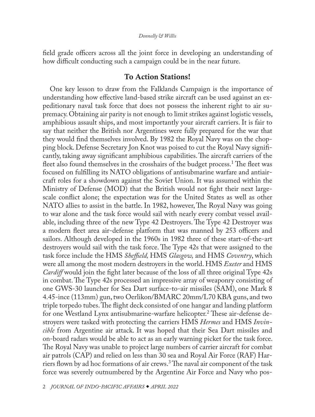## *Donnelly & Willis*

<span id="page-1-0"></span>field grade officers across all the joint force in developing an understanding of how difficult conducting such a campaign could be in the near future.

## To Action Stations!

One key lesson to draw from the Falklands Campaign is the importance of understanding how effective land-based strike aircraft can be used against an expeditionary naval task force that does not possess the inherent right to air supremacy. Obtaining air parity is not enough to limit strikes against logistic vessels, amphibious assault ships, and most importantly your aircraft carriers. It is fair to say that neither the British nor Argentines were fully prepared for the war that they would find themselves involved. By 1982 the Royal Navy was on the chopping block. Defense Secretary Jon Knot was poised to cut the Royal Navy significantly, taking away significant amphibious capabilities. The aircraft carriers of the fleet also found themselves in the crosshairs of the budget process.<sup>1</sup> The fleet was focused on fulfilling its NATO obligations of antisubmarine warfare and antiaircraft roles for a showdown against the Soviet Union. It was assumed within the Ministry of Defense (MOD) that the British would not fight their next largescale conflict alone; the expectation was for the United States as well as other NATO allies to assist in the battle. In 1982, however, The Royal Navy was going to war alone and the task force would sail with nearly every combat vessel available, including three of the new Type 42 Destroyers. The Type 42 Destroyer was a modern fleet area air-defense platform that was manned by 253 officers and sailors. Although developed in the 1960s in 1982 three of these start-of-the-art destroyers would sail with the task force. The Type 42s that were assigned to the task force include the HMS *Sheffield,* HMS *Glasgow,* and HMS *Coventry*, which were all among the most modern destroyers in the world. HMS *Exeter* and HMS *Cardiff* would join the fight later because of the loss of all three original Type 42s in combat. The Type 42s processed an impressive array of weaponry consisting of one GWS-30 launcher for Sea Dart surface-to-air missiles (SAM), one Mark 8 4.45-ince (113mm) gun, two Oerlikon/BMARC 20mm/L70 KBA guns, and two triple torpedo tubes. The flight deck consisted of one hangar and landing platform for one Westland Lynx antisubmarine-warfare helicopter.<sup>[2](#page-6-0)</sup> These air-defense destroyers were tasked with protecting the carriers HMS *Hermes* and HMS *Invincible* from Argentine air attack. It was hoped that their Sea Dart missiles and on-board radars would be able to act as an early warning picket for the task force. The Royal Navy was unable to project large numbers of carrier aircraft for combat air patrols (CAP) and relied on less than 30 sea and Royal Air Force (RAF) Harriers flown by ad hoc formations of air crews.[3](#page-6-0) The naval air component of the task force was severely outnumbered by the Argentine Air Force and Navy who pos-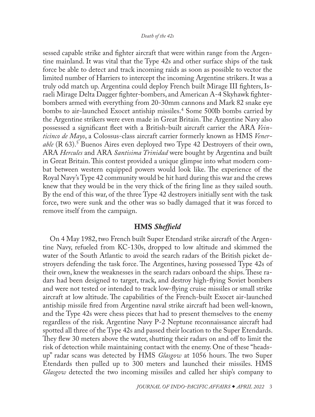## *Death of the 42s*

<span id="page-2-0"></span>sessed capable strike and fighter aircraft that were within range from the Argentine mainland. It was vital that the Type 42s and other surface ships of the task force be able to detect and track incoming raids as soon as possible to vector the limited number of Harriers to intercept the incoming Argentine strikers. It was a truly odd match up. Argentina could deploy French built Mirage III fighters, Israeli Mirage Delta Dagger fighter-bombers, and American A-4 Skyhawk fighterbombers armed with everything from 20-30mm cannons and Mark 82 snake eye bombs to air-launched Exocet antiship missiles.[4](#page-6-0) Some 500lb bombs carried by the Argentine strikers were even made in Great Britain. The Argentine Navy also possessed a significant fleet with a British-built aircraft carrier the ARA *Veinticinco de Mayo*, a Colossus-class aircraft carrier formerly known as HMS *Venerable* (R 63).[5](#page-6-0) Buenos Aires even deployed two Type 42 Destroyers of their own, ARA *Hercules* and ARA *Santisima Trinidad* were bought by Argentina and built in Great Britain. This contest provided a unique glimpse into what modern combat between western equipped powers would look like. The experience of the Royal Navy's Type 42 community would be hit hard during this war and the crews knew that they would be in the very thick of the firing line as they sailed south. By the end of this war, of the three Type 42 destroyers initially sent with the task force, two were sunk and the other was so badly damaged that it was forced to remove itself from the campaign.

## HMS *Sheffield*

On 4 May 1982, two French built Super Etendard strike aircraft of the Argentine Navy, refueled from KC-130s, dropped to low altitude and skimmed the water of the South Atlantic to avoid the search radars of the British picket destroyers defending the task force. The Argentines, having possessed Type 42s of their own, knew the weaknesses in the search radars onboard the ships. These radars had been designed to target, track, and destroy high-flying Soviet bombers and were not tested or intended to track low-flying cruise missiles or small strike aircraft at low altitude. The capabilities of the French-built Exocet air-launched antiship missile fired from Argentine naval strike aircraft had been well-known, and the Type 42s were chess pieces that had to present themselves to the enemy regardless of the risk. Argentine Navy P-2 Neptune reconnaissance aircraft had spotted all three of the Type 42s and passed their location to the Super Etendards. They flew 30 meters above the water, shutting their radars on and off to limit the risk of detection while maintaining contact with the enemy. One of these "headsup" radar scans was detected by HMS *Glasgow* at 1056 hours. The two Super Etendards then pulled up to 300 meters and launched their missiles. HMS *Glasgow* detected the two incoming missiles and called her ship's company to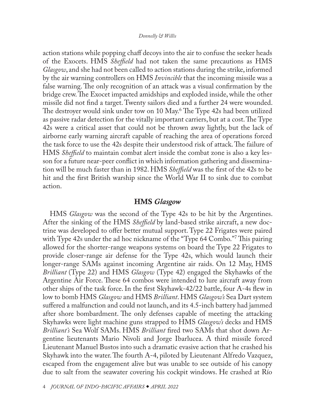### *Donnelly & Willis*

<span id="page-3-0"></span>action stations while popping chaff decoys into the air to confuse the seeker heads of the Exocets. HMS *Sheffield* had not taken the same precautions as HMS *Glasgow*, and she had not been called to action stations during the strike, informed by the air warning controllers on HMS *Invincible* that the incoming missile was a false warning. The only recognition of an attack was a visual confirmation by the bridge crew. The Exocet impacted amidships and exploded inside, while the other missile did not find a target. Twenty sailors died and a further 24 were wounded. The destroyer would sink under tow on 10 May.[6](#page-6-0) The Type 42s had been utilized as passive radar detection for the vitally important carriers, but at a cost. The Type 42s were a critical asset that could not be thrown away lightly, but the lack of airborne early warning aircraft capable of reaching the area of operations forced the task force to use the 42s despite their understood risk of attack. The failure of HMS *Sheffield* to maintain combat alert inside the combat zone is also a key lesson for a future near-peer conflict in which information gathering and dissemination will be much faster than in 1982. HMS *Sheffield* was the first of the 42s to be hit and the first British warship since the World War II to sink due to combat action.

## HMS *Glasgow*

HMS *Glasgow* was the second of the Type 42s to be hit by the Argentines. After the sinking of the HMS *Sheffield* by land-based strike aircraft, a new doctrine was developed to offer better mutual support. Type 22 Frigates were paired with Type 42s under the ad hoc nickname of the "Type 64 Combo.["7](#page-6-0) This pairing allowed for the shorter-range weapons systems on board the Type 22 Frigates to provide closer-range air defense for the Type 42s, which would launch their longer-range SAMs against incoming Argentine air raids. On 12 May, HMS *Brilliant* (Type 22) and HMS *Glasgow* (Type 42) engaged the Skyhawks of the Argentine Air Force. These 64 combos were intended to lure aircraft away from other ships of the task force. In the first Skyhawk-42/22 battle, four A-4s flew in low to bomb HMS *Glasgow* and HMS *Brilliant*. HMS *Glasgow's* Sea Dart system suffered a malfunction and could not launch, and its 4.5-inch battery had jammed after shore bombardment. The only defenses capable of meeting the attacking Skyhawks were light machine guns strapped to HMS *Glasgow's* decks and HMS *Brilliant's* Sea Wolf SAMs. HMS *Brilliant* fired two SAMs that shot down Argentine lieutenants Mario Nivoli and Jorge Ibarlucea. A third missile forced Lieutenant Manuel Bustos into such a dramatic evasive action that he crashed his Skyhawk into the water. The fourth A-4, piloted by Lieutenant Alfredo Vazquez, escaped from the engagement alive but was unable to see outside of his canopy due to salt from the seawater covering his cockpit windows. He crashed at Río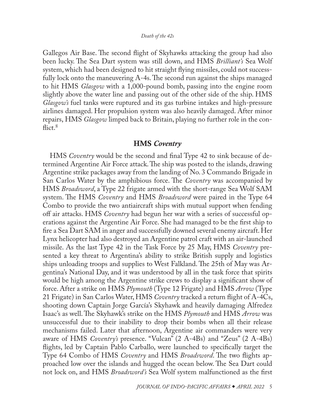<span id="page-4-0"></span>Gallegos Air Base. The second flight of Skyhawks attacking the group had also been lucky. The Sea Dart system was still down, and HMS *Brilliant's* Sea Wolf system, which had been designed to hit straight flying missiles, could not successfully lock onto the maneuvering A-4s. The second run against the ships managed to hit HMS *Glasgow* with a 1,000-pound bomb, passing into the engine room slightly above the water line and passing out of the other side of the ship. HMS *Glasgow's* fuel tanks were ruptured and its gas turbine intakes and high-pressure airlines damaged. Her propulsion system was also heavily damaged. After minor repairs, HMS *Glasgow* limped back to Britain, playing no further role in the con- $\text{flict.}^8$  $\text{flict.}^8$ 

## HMS *Coventry*

HMS *Coventry* would be the second and final Type 42 to sink because of determined Argentine Air Force attack. The ship was posted to the islands, drawing Argentine strike packages away from the landing of No. 3 Commando Brigade in San Carlos Water by the amphibious force. The *Coventry* was accompanied by HMS *Broadsword*, a Type 22 frigate armed with the short-range Sea Wolf SAM system. The HMS *Coventry* and HMS *Broadsword* were paired in the Type 64 Combo to provide the two antiaircraft ships with mutual support when fending off air attacks. HMS *Coventry* had begun her war with a series of successful operations against the Argentine Air Force. She had managed to be the first ship to fire a Sea Dart SAM in anger and successfully downed several enemy aircraft. Her Lynx helicopter had also destroyed an Argentine patrol craft with an air-launched missile. As the last Type 42 in the Task Force by 25 May, HMS *Coventry* presented a key threat to Argentina's ability to strike British supply and logistics ships unloading troops and supplies to West Falkland. The 25th of May was Argentina's National Day, and it was understood by all in the task force that spirits would be high among the Argentine strike crews to display a significant show of force. After a strike on HMS *Plymouth* (Type 12 Frigate) and HMS *Arrow* (Type 21 Frigate) in San Carlos Water, HMS *Coventry* tracked a return flight of A-4Cs, shooting down Captain Jorge García's Skyhawk and heavily damaging Alfredez Isaac's as well. The Skyhawk's strike on the HMS *Plymouth* and HMS *Arrow* was unsuccessful due to their inability to drop their bombs when all their release mechanisms failed. Later that afternoon, Argentine air commanders were very aware of HMS *Coventry's* presence. "Vulcan" (2 A-4Bs) and "Zeus" (2 A-4Bs) flights, led by Captain Pablo Carballo, were launched to specifically target the Type 64 Combo of HMS *Coventry* and HMS *Broadsword*. The two flights approached low over the islands and hugged the ocean below. The Sea Dart could not lock on, and HMS *Broadsword's* Sea Wolf system malfunctioned as the first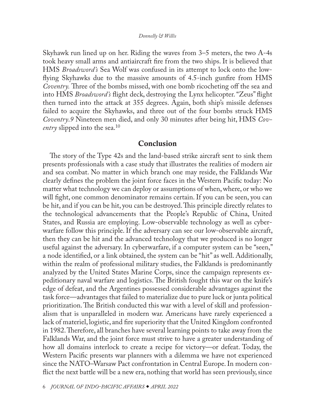#### *Donnelly & Willis*

<span id="page-5-0"></span>Skyhawk run lined up on her. Riding the waves from 3–5 meters, the two A-4s took heavy small arms and antiaircraft fire from the two ships. It is believed that HMS *Broadsword's* Sea Wolf was confused in its attempt to lock onto the lowflying Skyhawks due to the massive amounts of 4.5-inch gunfire from HMS *Coventry.* Three of the bombs missed, with one bomb ricocheting off the sea and into HMS *Broadsword's* flight deck, destroying the Lynx helicopter. "Zeus" flight then turned into the attack at 355 degrees. Again, both ship's missile defenses failed to acquire the Skyhawks, and three out of the four bombs struck HMS *Coventry*.*[9](#page-6-0)* Nineteen men died, and only 30 minutes after being hit, HMS *Coventry* slipped into the sea.<sup>[10](#page-6-0)</sup>

## Conclusion

The story of the Type 42s and the land-based strike aircraft sent to sink them presents professionals with a case study that illustrates the realities of modern air and sea combat. No matter in which branch one may reside, the Falklands War clearly defines the problem the joint force faces in the Western Pacific today: No matter what technology we can deploy or assumptions of when, where, or who we will fight, one common denominator remains certain. If you can be seen, you can be hit, and if you can be hit, you can be destroyed. This principle directly relates to the technological advancements that the People's Republic of China, United States, and Russia are employing. Low-observable technology as well as cyberwarfare follow this principle. If the adversary can see our low-observable aircraft, then they can be hit and the advanced technology that we produced is no longer useful against the adversary. In cyberwarfare, if a computer system can be "seen," a node identified, or a link obtained, the system can be "hit" as well. Additionally, within the realm of professional military studies, the Falklands is predominantly analyzed by the United States Marine Corps, since the campaign represents expeditionary naval warfare and logistics. The British fought this war on the knife's edge of defeat, and the Argentines possessed considerable advantages against the task force—advantages that failed to materialize due to pure luck or junta political prioritization. The British conducted this war with a level of skill and professionalism that is unparalleled in modern war. Americans have rarely experienced a lack of materiel, logistic, and fire superiority that the United Kingdom confronted in 1982. Therefore, all branches have several learning points to take away from the Falklands War, and the joint force must strive to have a greater understanding of how all domains interlock to create a recipe for victory—or defeat. Today, the Western Pacific presents war planners with a dilemma we have not experienced since the NATO–Warsaw Pact confrontation in Central Europe. In modern conflict the next battle will be a new era, nothing that world has seen previously, since